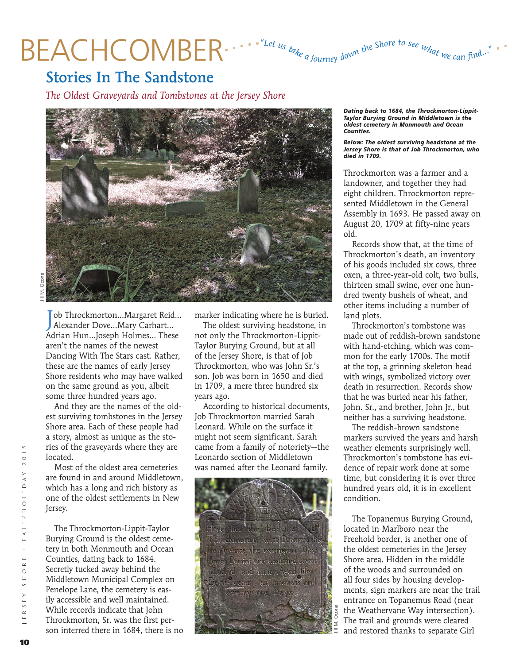# BEACHCOMBER .... "Let us take a journey down the Shore to see what we can find

### Stories In The Sandstone

*The Oldest Graveyards and Tombstones at the Jersey Shore*



Job Throckmorton...Margaret Reid<br>Alexander Dove...Mary Carhart... ob Throckmorton…Margaret Reid… Adrian Hun…Joseph Holmes… These aren't the names of the newest Dancing With The Stars cast. Rather, these are the names of early Jersey Shore residents who may have walked on the same ground as you, albeit some three hundred years ago.

And they are the names of the oldest surviving tombstones in the Jersey Shore area. Each of these people had a story, almost as unique as the stories of the graveyards where they are located.

Most of the oldest area cemeteries are found in and around Middletown, which has a long and rich history as one of the oldest settlements in New Jersey.

The Throckmorton-Lippit-Taylor Burying Ground is the oldest cemetery in both Monmouth and Ocean Counties, dating back to 1684. Secretly tucked away behind the Middletown Municipal Complex on Penelope Lane, the cemetery is easily accessible and well maintained. While records indicate that John Throckmorton, Sr. was the first person interred there in 1684, there is no marker indicating where he is buried.

The oldest surviving headstone, in not only the Throckmorton-Lippit-Taylor Burying Ground, but at all of the Jersey Shore, is that of Job Throckmorton, who was John Sr.'s son. Job was born in 1650 and died in 1709, a mere three hundred six years ago.

According to historical documents, Job Throckmorton married Sarah Leonard. While on the surface it might not seem significant, Sarah came from a family of notoriety—the Leonardo section of Middletown was named after the Leonard family.



*Dating back to 1684, the Throckmorton-Lippit-Taylor Burying Ground in Middletown is the oldest cemetery in Monmouth and Ocean Counties.*

*Below: The oldest surviving headstone at the Jersey Shore is that of Job Throckmorton, who died in 1709.*

Throckmorton was a farmer and a landowner, and together they had eight children. Throckmorton represented Middletown in the General Assembly in 1693. He passed away on August 20, 1709 at fifty-nine years old.

Records show that, at the time of Throckmorton's death, an inventory of his goods included six cows, three oxen, a three-year-old colt, two bulls, thirteen small swine, over one hundred twenty bushels of wheat, and other items including a number of land plots.

Throckmorton's tombstone was made out of reddish-brown sandstone with hand-etching, which was common for the early 1700s. The motif at the top, a grinning skeleton head with wings, symbolized victory over death in resurrection. Records show that he was buried near his father, John. Sr., and brother, John Jr., but neither has a surviving headstone.

The reddish-brown sandstone markers survived the years and harsh weather elements surprisingly well. Throckmorton's tombstone has evidence of repair work done at some time, but considering it is over three hundred years old, it is in excellent condition.

The Topanemus Burying Ground, located in Marlboro near the Freehold border, is another one of the oldest cemeteries in the Jersey Shore area. Hidden in the middle of the woods and surrounded on all four sides by housing developments, sign markers are near the trail entrance on Topanemus Road (near the Weathervane Way intersection). The trail and grounds were cleared and restored thanks to separate Girl